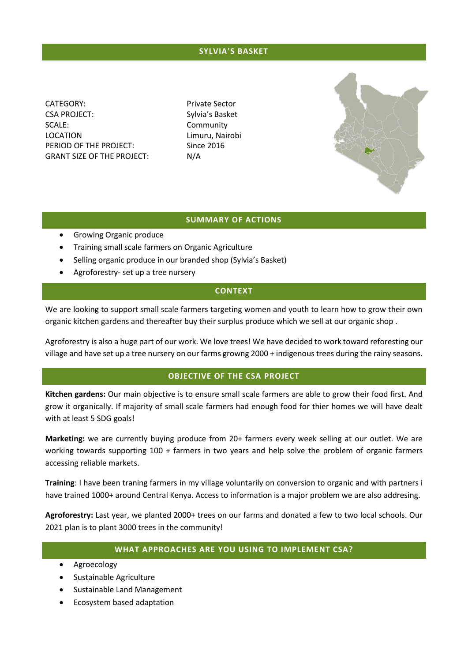## **SYLVIA'S BASKET**

CATEGORY: Private Sector CSA PROJECT: Sylvia's Basket SCALE: Community LOCATION Limuru, Nairobi PERIOD OF THE PROJECT: Since 2016 GRANT SIZE OF THE PROJECT: N/A



## **SUMMARY OF ACTIONS**

- **•** Growing Organic produce
- Training small scale farmers on Organic Agriculture
- Selling organic produce in our branded shop (Sylvia's Basket)
- Agroforestry- set up a tree nursery

## **CONTEXT**

We are looking to support small scale farmers targeting women and youth to learn how to grow their own organic kitchen gardens and thereafter buy their surplus produce which we sell at our organic shop .

Agroforestry is also a huge part of our work. We love trees! We have decided to work toward reforesting our village and have set up a tree nursery on our farms growng 2000 + indigenous trees during the rainy seasons.

## **OBJECTIVE OF THE CSA PROJECT**

**Kitchen gardens:** Our main objective is to ensure small scale farmers are able to grow their food first. And grow it organically. If majority of small scale farmers had enough food for thier homes we will have dealt with at least 5 SDG goals!

**Marketing:** we are currently buying produce from 20+ farmers every week selling at our outlet. We are working towards supporting 100 + farmers in two years and help solve the problem of organic farmers accessing reliable markets.

**Training**: I have been traning farmers in my village voluntarily on conversion to organic and with partners i have trained 1000+ around Central Kenya. Access to information is a major problem we are also addresing.

**Agroforestry:** Last year, we planted 2000+ trees on our farms and donated a few to two local schools. Our 2021 plan is to plant 3000 trees in the community!

## **WHAT APPROACHES ARE YOU USING TO IMPLEMENT CSA?**

- Agroecology
- Sustainable Agriculture
- Sustainable Land Management
- Ecosystem based adaptation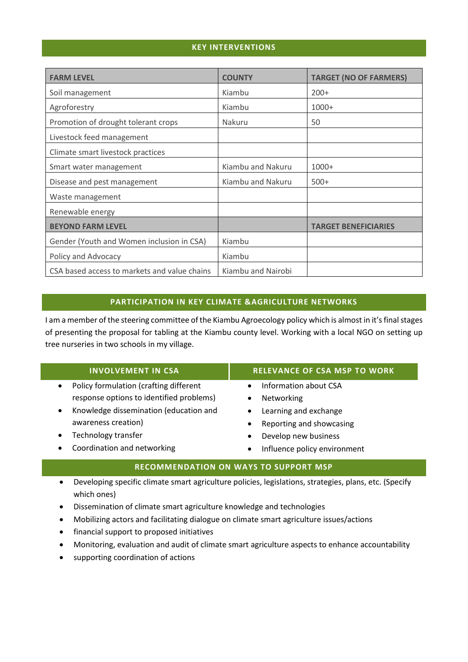## **KEY INTERVENTIONS**

| <b>FARM LEVEL</b>                            | <b>COUNTY</b>      | <b>TARGET (NO OF FARMERS)</b> |
|----------------------------------------------|--------------------|-------------------------------|
| Soil management                              | Kiambu             | $200+$                        |
| Agroforestry                                 | Kiambu             | $1000+$                       |
| Promotion of drought tolerant crops          | <b>Nakuru</b>      | 50                            |
| Livestock feed management                    |                    |                               |
| Climate smart livestock practices            |                    |                               |
| Smart water management                       | Kiambu and Nakuru  | $1000+$                       |
| Disease and pest management                  | Kiambu and Nakuru  | $500+$                        |
| Waste management                             |                    |                               |
| Renewable energy                             |                    |                               |
| <b>BEYOND FARM LEVEL</b>                     |                    | <b>TARGET BENEFICIARIES</b>   |
| Gender (Youth and Women inclusion in CSA)    | Kiambu             |                               |
| Policy and Advocacy                          | Kiambu             |                               |
| CSA based access to markets and value chains | Kiambu and Nairobi |                               |

## **PARTICIPATION IN KEY CLIMATE &AGRICULTURE NETWORKS**

I am a member of the steering committee of the Kiambu Agroecology policy which is almost in it's final stages of presenting the proposal for tabling at the Kiambu county level. Working with a local NGO on setting up tree nurseries in two schools in my village.

|                      | <b>INVOLVEMENT IN CSA</b>                | <b>RELEVANCE OF CSA MSP TO WORK</b>       |  |  |
|----------------------|------------------------------------------|-------------------------------------------|--|--|
|                      | Policy formulation (crafting different   | Information about CSA                     |  |  |
|                      | response options to identified problems) | Networking                                |  |  |
|                      | Knowledge dissemination (education and   | Learning and exchange                     |  |  |
|                      | awareness creation)                      | Reporting and showcasing<br>$\bullet$     |  |  |
|                      | Technology transfer                      | Develop new business<br>$\bullet$         |  |  |
|                      | Coordination and networking              | Influence policy environment<br>$\bullet$ |  |  |
| BEAR ARAENIB A TIANI |                                          |                                           |  |  |

# **RECOMMENDATION ON WAYS TO SUPPORT MSP**

- Developing specific climate smart agriculture policies, legislations, strategies, plans, etc. (Specify which ones)
- Dissemination of climate smart agriculture knowledge and technologies
- Mobilizing actors and facilitating dialogue on climate smart agriculture issues/actions
- financial support to proposed initiatives
- Monitoring, evaluation and audit of climate smart agriculture aspects to enhance accountability
- supporting coordination of actions